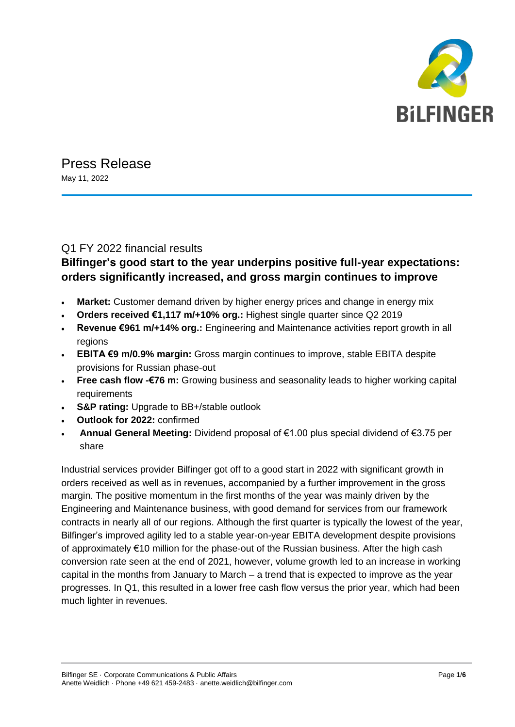

# Press Release

May 11, 2022

### Q1 FY 2022 financial results

# **Bilfinger's good start to the year underpins positive full-year expectations: orders significantly increased, and gross margin continues to improve**

- **Market:** Customer demand driven by higher energy prices and change in energy mix
- **Orders received €1,117 m/+10% org.:** Highest single quarter since Q2 2019
- **Revenue €961 m/+14% org.:** Engineering and Maintenance activities report growth in all regions
- **EBITA €9 m/0.9% margin:** Gross margin continues to improve, stable EBITA despite provisions for Russian phase-out
- **Free cash flow -€76 m:** Growing business and seasonality leads to higher working capital requirements
- **S&P rating:** Upgrade to BB+/stable outlook
- **Outlook for 2022:** confirmed
- **Annual General Meeting:** Dividend proposal of €1.00 plus special dividend of €3.75 per share

Industrial services provider Bilfinger got off to a good start in 2022 with significant growth in orders received as well as in revenues, accompanied by a further improvement in the gross margin. The positive momentum in the first months of the year was mainly driven by the Engineering and Maintenance business, with good demand for services from our framework contracts in nearly all of our regions. Although the first quarter is typically the lowest of the year, Bilfinger's improved agility led to a stable year-on-year EBITA development despite provisions of approximately €10 million for the phase-out of the Russian business. After the high cash conversion rate seen at the end of 2021, however, volume growth led to an increase in working capital in the months from January to March – a trend that is expected to improve as the year progresses. In Q1, this resulted in a lower free cash flow versus the prior year, which had been much lighter in revenues.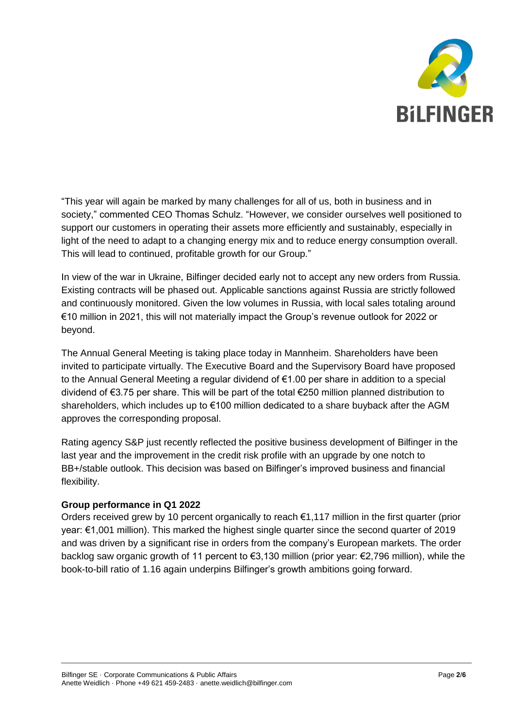

"This year will again be marked by many challenges for all of us, both in business and in society," commented CEO Thomas Schulz. "However, we consider ourselves well positioned to support our customers in operating their assets more efficiently and sustainably, especially in light of the need to adapt to a changing energy mix and to reduce energy consumption overall. This will lead to continued, profitable growth for our Group."

In view of the war in Ukraine, Bilfinger decided early not to accept any new orders from Russia. Existing contracts will be phased out. Applicable sanctions against Russia are strictly followed and continuously monitored. Given the low volumes in Russia, with local sales totaling around €10 million in 2021, this will not materially impact the Group's revenue outlook for 2022 or beyond.

The Annual General Meeting is taking place today in Mannheim. Shareholders have been invited to participate virtually. The Executive Board and the Supervisory Board have proposed to the Annual General Meeting a regular dividend of €1.00 per share in addition to a special dividend of €3.75 per share. This will be part of the total €250 million planned distribution to shareholders, which includes up to €100 million dedicated to a share buyback after the AGM approves the corresponding proposal.

Rating agency S&P just recently reflected the positive business development of Bilfinger in the last year and the improvement in the credit risk profile with an upgrade by one notch to BB+/stable outlook. This decision was based on Bilfinger's improved business and financial flexibility.

#### **Group performance in Q1 2022**

Orders received grew by 10 percent organically to reach €1,117 million in the first quarter (prior year: €1,001 million). This marked the highest single quarter since the second quarter of 2019 and was driven by a significant rise in orders from the company's European markets. The order backlog saw organic growth of 11 percent to €3,130 million (prior year: €2,796 million), while the book-to-bill ratio of 1.16 again underpins Bilfinger's growth ambitions going forward.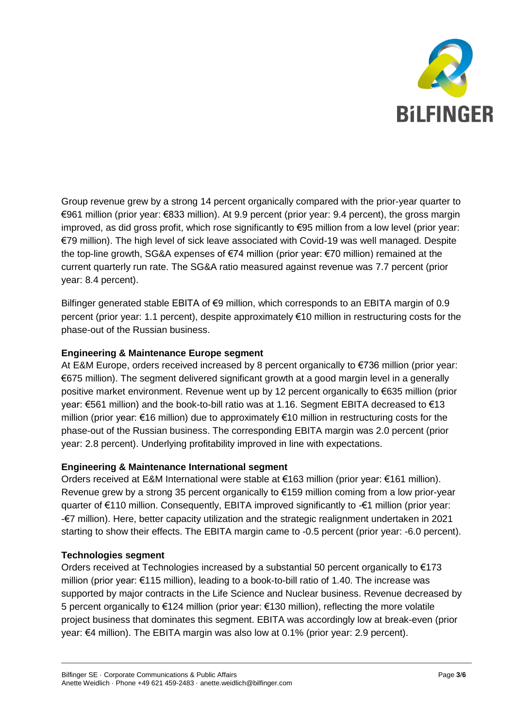

Group revenue grew by a strong 14 percent organically compared with the prior-year quarter to €961 million (prior year: €833 million). At 9.9 percent (prior year: 9.4 percent), the gross margin improved, as did gross profit, which rose significantly to €95 million from a low level (prior year: €79 million). The high level of sick leave associated with Covid-19 was well managed. Despite the top-line growth, SG&A expenses of €74 million (prior year: €70 million) remained at the current quarterly run rate. The SG&A ratio measured against revenue was 7.7 percent (prior year: 8.4 percent).

Bilfinger generated stable EBITA of €9 million, which corresponds to an EBITA margin of 0.9 percent (prior year: 1.1 percent), despite approximately €10 million in restructuring costs for the phase-out of the Russian business.

#### **Engineering & Maintenance Europe segment**

At E&M Europe, orders received increased by 8 percent organically to €736 million (prior year: €675 million). The segment delivered significant growth at a good margin level in a generally positive market environment. Revenue went up by 12 percent organically to €635 million (prior year: €561 million) and the book-to-bill ratio was at 1.16. Segment EBITA decreased to €13 million (prior year: €16 million) due to approximately €10 million in restructuring costs for the phase-out of the Russian business. The corresponding EBITA margin was 2.0 percent (prior year: 2.8 percent). Underlying profitability improved in line with expectations.

#### **Engineering & Maintenance International segment**

Orders received at E&M International were stable at €163 million (prior year: €161 million). Revenue grew by a strong 35 percent organically to €159 million coming from a low prior-year quarter of €110 million. Consequently, EBITA improved significantly to -€1 million (prior year: -€7 million). Here, better capacity utilization and the strategic realignment undertaken in 2021 starting to show their effects. The EBITA margin came to -0.5 percent (prior year: -6.0 percent).

#### **Technologies segment**

Orders received at Technologies increased by a substantial 50 percent organically to  $E$ 173 million (prior year: €115 million), leading to a book-to-bill ratio of 1.40. The increase was supported by major contracts in the Life Science and Nuclear business. Revenue decreased by 5 percent organically to €124 million (prior year: €130 million), reflecting the more volatile project business that dominates this segment. EBITA was accordingly low at break-even (prior year: €4 million). The EBITA margin was also low at 0.1% (prior year: 2.9 percent).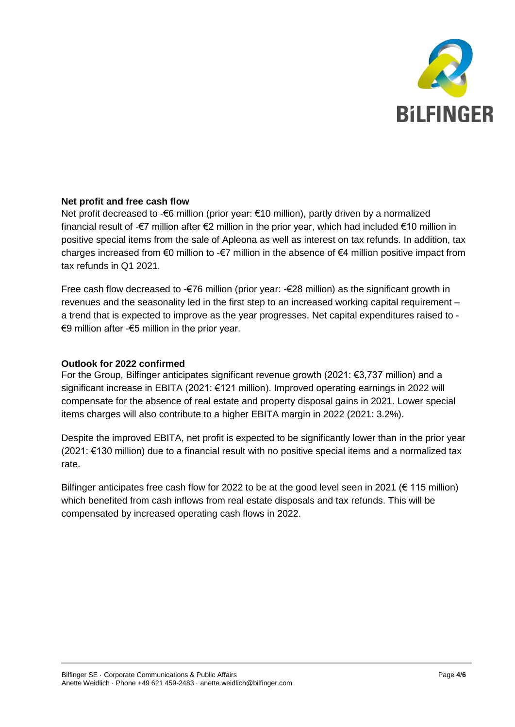

#### **Net profit and free cash flow**

Net profit decreased to -€6 million (prior year: €10 million), partly driven by a normalized financial result of -€7 million after €2 million in the prior year, which had included €10 million in positive special items from the sale of Apleona as well as interest on tax refunds. In addition, tax charges increased from  $\epsilon$ 0 million to - $\epsilon$ 7 million in the absence of  $\epsilon$ 4 million positive impact from tax refunds in Q1 2021.

Free cash flow decreased to -€76 million (prior year: -€28 million) as the significant growth in revenues and the seasonality led in the first step to an increased working capital requirement – a trend that is expected to improve as the year progresses. Net capital expenditures raised to - €9 million after -€5 million in the prior year.

#### **Outlook for 2022 confirmed**

For the Group, Bilfinger anticipates significant revenue growth (2021: €3,737 million) and a significant increase in EBITA (2021: €121 million). Improved operating earnings in 2022 will compensate for the absence of real estate and property disposal gains in 2021. Lower special items charges will also contribute to a higher EBITA margin in 2022 (2021: 3.2%).

Despite the improved EBITA, net profit is expected to be significantly lower than in the prior year (2021: €130 million) due to a financial result with no positive special items and a normalized tax rate.

Bilfinger anticipates free cash flow for 2022 to be at the good level seen in 2021 ( $\epsilon$  115 million) which benefited from cash inflows from real estate disposals and tax refunds. This will be compensated by increased operating cash flows in 2022.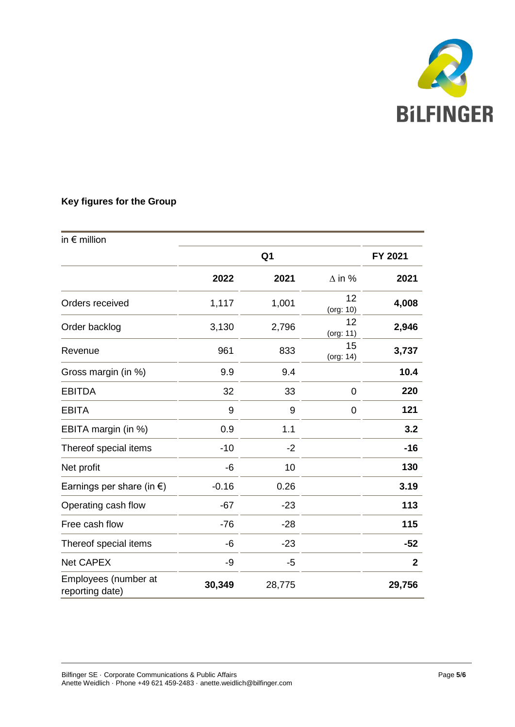

## **Key figures for the Group**

| in $\epsilon$ million                   |                |        |                 |              |
|-----------------------------------------|----------------|--------|-----------------|--------------|
|                                         | Q <sub>1</sub> |        |                 | FY 2021      |
|                                         | 2022           | 2021   | $\Delta$ in %   | 2021         |
| Orders received                         | 1,117          | 1,001  | 12<br>(org: 10) | 4,008        |
| Order backlog                           | 3,130          | 2,796  | 12<br>(org: 11) | 2,946        |
| Revenue                                 | 961            | 833    | 15<br>(org: 14) | 3,737        |
| Gross margin (in %)                     | 9.9            | 9.4    |                 | 10.4         |
| <b>EBITDA</b>                           | 32             | 33     | 0               | 220          |
| <b>EBITA</b>                            | 9              | 9      | 0               | 121          |
| EBITA margin (in %)                     | 0.9            | 1.1    |                 | 3.2          |
| Thereof special items                   | $-10$          | $-2$   |                 | $-16$        |
| Net profit                              | -6             | 10     |                 | 130          |
| Earnings per share (in $\epsilon$ )     | $-0.16$        | 0.26   |                 | 3.19         |
| Operating cash flow                     | $-67$          | $-23$  |                 | 113          |
| Free cash flow                          | $-76$          | $-28$  |                 | 115          |
| Thereof special items                   | -6             | $-23$  |                 | $-52$        |
| <b>Net CAPEX</b>                        | -9             | $-5$   |                 | $\mathbf{2}$ |
| Employees (number at<br>reporting date) | 30,349         | 28,775 |                 | 29,756       |